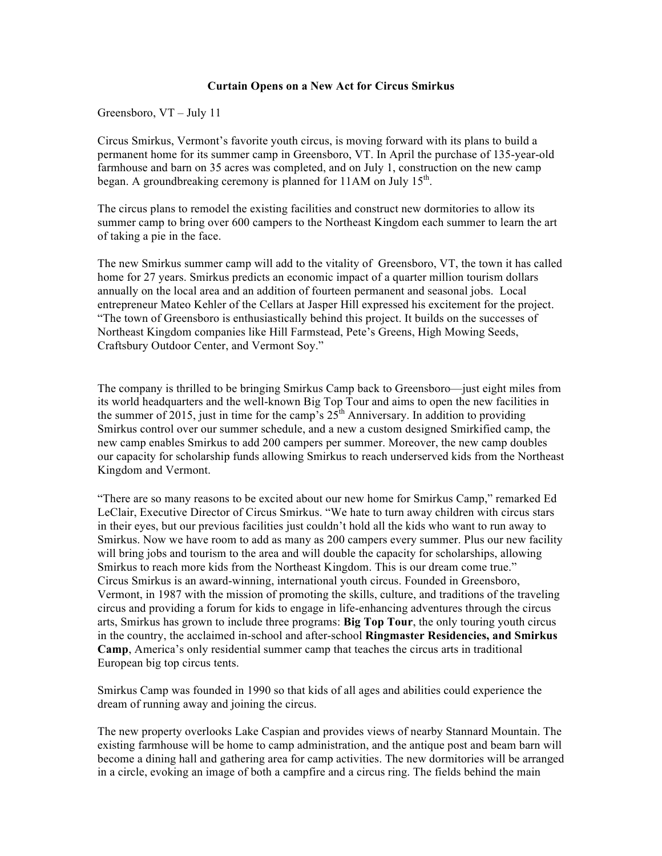## **Curtain Opens on a New Act for Circus Smirkus**

Greensboro, VT – July 11

Circus Smirkus, Vermont's favorite youth circus, is moving forward with its plans to build a permanent home for its summer camp in Greensboro, VT. In April the purchase of 135-year-old farmhouse and barn on 35 acres was completed, and on July 1, construction on the new camp began. A groundbreaking ceremony is planned for  $11AM$  on July  $15<sup>th</sup>$ .

The circus plans to remodel the existing facilities and construct new dormitories to allow its summer camp to bring over 600 campers to the Northeast Kingdom each summer to learn the art of taking a pie in the face.

The new Smirkus summer camp will add to the vitality of Greensboro, VT, the town it has called home for 27 years. Smirkus predicts an economic impact of a quarter million tourism dollars annually on the local area and an addition of fourteen permanent and seasonal jobs. Local entrepreneur Mateo Kehler of the Cellars at Jasper Hill expressed his excitement for the project. "The town of Greensboro is enthusiastically behind this project. It builds on the successes of Northeast Kingdom companies like Hill Farmstead, Pete's Greens, High Mowing Seeds, Craftsbury Outdoor Center, and Vermont Soy."

The company is thrilled to be bringing Smirkus Camp back to Greensboro—just eight miles from its world headquarters and the well-known Big Top Tour and aims to open the new facilities in the summer of 2015, just in time for the camp's  $25<sup>th</sup>$  Anniversary. In addition to providing Smirkus control over our summer schedule, and a new a custom designed Smirkified camp, the new camp enables Smirkus to add 200 campers per summer. Moreover, the new camp doubles our capacity for scholarship funds allowing Smirkus to reach underserved kids from the Northeast Kingdom and Vermont.

"There are so many reasons to be excited about our new home for Smirkus Camp," remarked Ed LeClair, Executive Director of Circus Smirkus. "We hate to turn away children with circus stars in their eyes, but our previous facilities just couldn't hold all the kids who want to run away to Smirkus. Now we have room to add as many as 200 campers every summer. Plus our new facility will bring jobs and tourism to the area and will double the capacity for scholarships, allowing Smirkus to reach more kids from the Northeast Kingdom. This is our dream come true." Circus Smirkus is an award-winning, international youth circus. Founded in Greensboro, Vermont, in 1987 with the mission of promoting the skills, culture, and traditions of the traveling circus and providing a forum for kids to engage in life-enhancing adventures through the circus arts, Smirkus has grown to include three programs: **Big Top Tour**, the only touring youth circus in the country, the acclaimed in-school and after-school **Ringmaster Residencies, and Smirkus Camp**, America's only residential summer camp that teaches the circus arts in traditional European big top circus tents.

Smirkus Camp was founded in 1990 so that kids of all ages and abilities could experience the dream of running away and joining the circus.

The new property overlooks Lake Caspian and provides views of nearby Stannard Mountain. The existing farmhouse will be home to camp administration, and the antique post and beam barn will become a dining hall and gathering area for camp activities. The new dormitories will be arranged in a circle, evoking an image of both a campfire and a circus ring. The fields behind the main